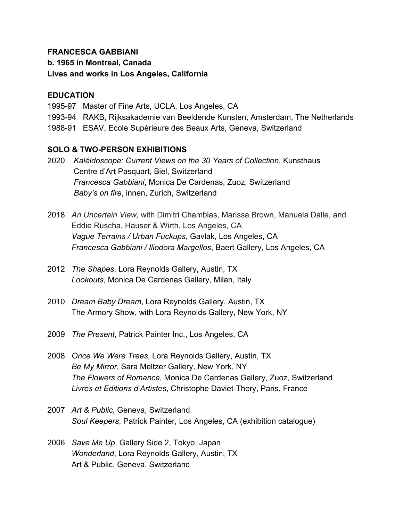## **FRANCESCA GABBIANI**

**b. 1965 in Montreal, Canada**

# **Lives and works in Los Angeles, California**

### **EDUCATION**

1995-97 Master of Fine Arts, UCLA, Los Angeles, CA

- 1993-94 RAKB, Rijksakademie van Beeldende Kunsten, Amsterdam, The Netherlands
- 1988-91 ESAV, Ecole Supérieure des Beaux Arts, Geneva, Switzerland

## **SOLO & TWO-PERSON EXHIBITIONS**

- 2020 *Kaléidoscope: Current Views on the 30 Years of Collection*, Kunsthaus Centre d'Art Pasquart, Biel, Switzerland *Francesca Gabbiani*, Monica De Cardenas, Zuoz, Switzerland *Baby's on fire*, innen, Zurich, Switzerland
- 2018 *An Uncertain View,* with Dimitri Chamblas, Marissa Brown, Manuela Dalle, and Eddie Ruscha, Hauser & Wirth, Los Angeles, CA  *Vague Terrains / Urban Fuckups*, Gavlak, Los Angeles, CA *Francesca Gabbiani / Iliodora Margellos*, Baert Gallery, Los Angeles, CA
- 2012 *The Shapes*, Lora Reynolds Gallery, Austin, TX *Lookouts*, Monica De Cardenas Gallery, Milan, Italy
- 2010 *Dream Baby Dream*, Lora Reynolds Gallery, Austin, TX The Armory Show, with Lora Reynolds Gallery, New York, NY
- 2009 *The Present*, Patrick Painter Inc., Los Angeles, CA
- 2008 *Once We Were Trees*, Lora Reynolds Gallery, Austin, TX *Be My Mirror*, Sara Meltzer Gallery, New York, NY *The Flowers of Romance*, Monica De Cardenas Gallery, Zuoz, Switzerland *Livres et Editions d'Artistes*, Christophe Daviet-Thery, Paris, France
- 2007 *Art & Public*, Geneva, Switzerland  *Soul Keepers*, Patrick Painter, Los Angeles, CA (exhibition catalogue)
- 2006 *Save Me Up*, Gallery Side 2, Tokyo, Japan *Wonderland*, Lora Reynolds Gallery, Austin, TX Art & Public, Geneva, Switzerland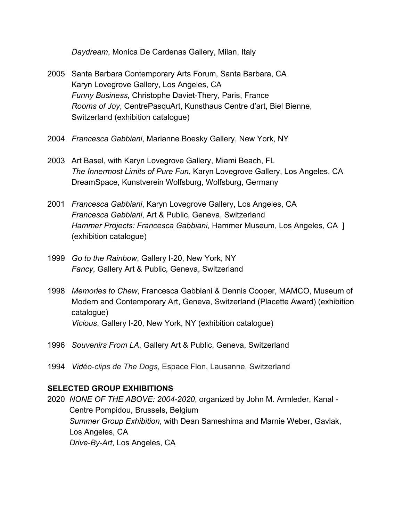*Daydream*, Monica De Cardenas Gallery, Milan, Italy

- 2005 Santa Barbara Contemporary Arts Forum, Santa Barbara, CA Karyn Lovegrove Gallery, Los Angeles, CA *Funny Business,* Christophe Daviet-Thery, Paris, France *Rooms of Joy*, CentrePasquArt, Kunsthaus Centre d'art, Biel Bienne, Switzerland (exhibition catalogue)
- 2004 *Francesca Gabbiani*, Marianne Boesky Gallery, New York, NY
- 2003 Art Basel, with Karyn Lovegrove Gallery, Miami Beach, FL *The Innermost Limits of Pure Fun*, Karyn Lovegrove Gallery, Los Angeles, CA DreamSpace, Kunstverein Wolfsburg, Wolfsburg, Germany
- 2001 *Francesca Gabbiani*, Karyn Lovegrove Gallery, Los Angeles, CA *Francesca Gabbiani*, Art & Public, Geneva, Switzerland *Hammer Projects: Francesca Gabbiani*, Hammer Museum, Los Angeles, CA ] (exhibition catalogue)
- 1999 *Go to the Rainbow*, Gallery I-20, New York, NY  *Fancy*, Gallery Art & Public, Geneva, Switzerland
- 1998 *Memories to Chew*, Francesca Gabbiani & Dennis Cooper, MAMCO, Museum of Modern and Contemporary Art, Geneva, Switzerland (Placette Award) (exhibition catalogue) *Vicious*, Gallery I-20, New York, NY (exhibition catalogue)
- 1996 *Souvenirs From LA*, Gallery Art & Public, Geneva, Switzerland
- 1994 *Vidéo-clips de The Dogs*, Espace Flon, Lausanne, Switzerland

## **SELECTED GROUP EXHIBITIONS**

2020 *NONE OF THE ABOVE: 2004-2020*, organized by John M. Armleder, Kanal - Centre Pompidou, Brussels, Belgium *Summer Group Exhibition*, with Dean Sameshima and Marnie Weber, Gavlak, Los Angeles, CA *Drive-By-Art*, Los Angeles, CA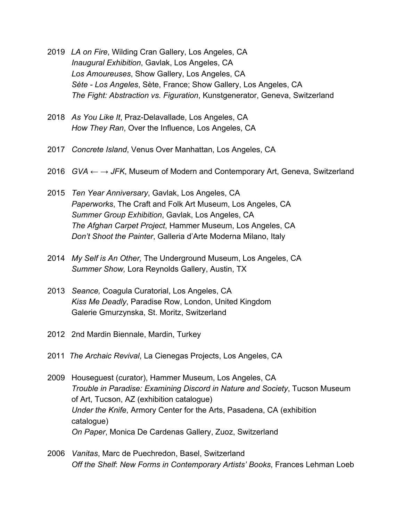- 2019 *LA on Fire*, Wilding Cran Gallery, Los Angeles, CA *Inaugural Exhibition*, Gavlak, Los Angeles, CA *Los Amoureuses*, Show Gallery, Los Angeles, CA *Sète - Los Angeles*, Sète, France; Show Gallery, Los Angeles, CA *The Fight: Abstraction vs. Figuration*, Kunstgenerator, Geneva, Switzerland
- 2018 *As You Like It*, Praz-Delavallade, Los Angeles, CA *How They Ran*, Over the Influence, Los Angeles, CA
- 2017 *Concrete Island*, Venus Over Manhattan, Los Angeles, CA
- 2016 *GVA ← → JFK*, Museum of Modern and Contemporary Art, Geneva, Switzerland
- 2015 *Ten Year Anniversary*, Gavlak, Los Angeles, CA *Paperworks*, The Craft and Folk Art Museum, Los Angeles, CA *Summer Group Exhibition*, Gavlak, Los Angeles, CA *The Afghan Carpet Project*, Hammer Museum, Los Angeles, CA *Don't Shoot the Painter*, Galleria d'Arte Moderna Milano, Italy
- 2014 *My Self is An Other,* The Underground Museum, Los Angeles, CA *Summer Show,* Lora Reynolds Gallery, Austin, TX
- 2013 *Seance,* Coagula Curatorial, Los Angeles, CA *Kiss Me Deadly*, Paradise Row, London, United Kingdom Galerie Gmurzynska, St. Moritz, Switzerland
- 2012 2nd Mardin Biennale, Mardin, Turkey
- 2011 *The Archaic Revival*, La Cienegas Projects, Los Angeles, CA
- 2009 Houseguest (curator), Hammer Museum, Los Angeles, CA *Trouble in Paradise: Examining Discord in Nature and Society*, Tucson Museum of Art, Tucson, AZ (exhibition catalogue) *Under the Knife*, Armory Center for the Arts, Pasadena, CA (exhibition catalogue) *On Paper*, Monica De Cardenas Gallery, Zuoz, Switzerland
- 2006 *Vanitas*, Marc de Puechredon, Basel, Switzerland *Off the Shelf*: *New Forms in Contemporary Artists' Books*, Frances Lehman Loeb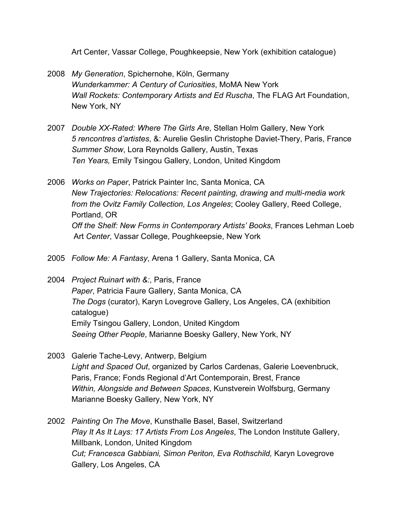Art Center, Vassar College, Poughkeepsie, New York (exhibition catalogue)

- 2008 *My Generation*, Spichernohe, Köln, Germany  *Wunderkammer: A Century of Curiosities*, MoMA New York  *Wall Rockets: Contemporary Artists and Ed Ruscha*, The FLAG Art Foundation, New York, NY
- 2007 *Double XX-Rated: Where The Girls Are*, Stellan Holm Gallery, New York *5 rencontres d'artistes*, &: Aurelie Geslin Christophe Daviet-Thery, Paris, France *Summer Show*, Lora Reynolds Gallery, Austin, Texas *Ten Years,* Emily Tsingou Gallery, London, United Kingdom
- 2006 *Works on Paper*, Patrick Painter Inc, Santa Monica, CA *New Trajectories: Relocations: Recent painting, drawing and multi-media work from the Ovitz Family Collection, Los Angeles*; Cooley Gallery, Reed College, Portland, OR *Off the Shelf: New Forms in Contemporary Artists' Books*, Frances Lehman Loeb Art *Center*, Vassar College, Poughkeepsie, New York
- 2005 *Follow Me: A Fantasy*, Arena 1 Gallery, Santa Monica, CA
- 2004 *Project Ruinart with &:*, Paris, France *Paper*, Patricia Faure Gallery, Santa Monica, CA *The Dogs* (curator), Karyn Lovegrove Gallery, Los Angeles, CA (exhibition catalogue) Emily Tsingou Gallery, London, United Kingdom *Seeing Other People*, Marianne Boesky Gallery, New York, NY
- 2003 Galerie Tache-Levy, Antwerp, Belgium *Light and Spaced Out*, organized by Carlos Cardenas, Galerie Loevenbruck, Paris, France; Fonds Regional d'Art Contemporain, Brest, France *Within, Alongside and Between Spaces*, Kunstverein Wolfsburg, Germany Marianne Boesky Gallery, New York, NY
- 2002 *Painting On The Move*, Kunsthalle Basel, Basel, Switzerland *Play It As It Lays: 17 Artists From Los Angeles*, The London Institute Gallery, Millbank, London, United Kingdom *Cut; Francesca Gabbiani, Simon Periton, Eva Rothschild,* Karyn Lovegrove Gallery, Los Angeles, CA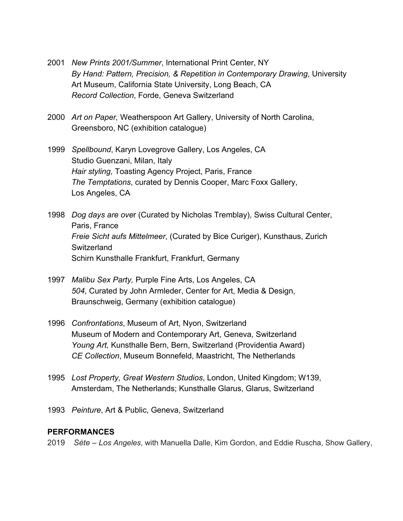- 2001 *New Prints 2001/Summer*, International Print Center, NY *By Hand: Pattern, Precision, & Repetition in Contemporary Drawing*, University Art Museum, California State University, Long Beach, CA *Record Collection*, Forde, Geneva Switzerland
- 2000 *Art on Paper,* Weatherspoon Art Gallery, University of North Carolina, Greensboro, NC (exhibition catalogue)
- 1999 *Spellbound*, Karyn Lovegrove Gallery, Los Angeles, CA Studio Guenzani, Milan, Italy *Hair styling*, Toasting Agency Project, Paris, France *The Temptations*, curated by Dennis Cooper, Marc Foxx Gallery, Los Angeles, CA
- 1998 *Dog days are ove*r (Curated by Nicholas Tremblay), Swiss Cultural Center, Paris, France *Freie Sicht aufs Mittelmeer*, (Curated by Bice Curiger), Kunsthaus, Zurich **Switzerland** Schirn Kunsthalle Frankfurt, Frankfurt, Germany
- 1997 *Malibu Sex Party,* Purple Fine Arts, Los Angeles, CA *504*, Curated by John Armleder, Center for Art, Media & Design, Braunschweig, Germany (exhibition catalogue)
- 1996 *Confrontations*, Museum of Art, Nyon, Switzerland Museum of Modern and Contemporary Art, Geneva, Switzerland *Young Art,* Kunsthalle Bern, Bern, Switzerland (Providentia Award) *CE Collection*, Museum Bonnefeld, Maastricht, The Netherlands
- 1995 *Lost Property, Great Western Studios*, London, United Kingdom; W139, Amsterdam, The Netherlands; Kunsthalle Glarus, Glarus, Switzerland
- 1993 *Peinture*, Art & Public, Geneva, Switzerland

#### **PERFORMANCES**

2019 *Sète – Los Angeles*, with Manuella Dalle, Kim Gordon, and Eddie Ruscha, Show Gallery,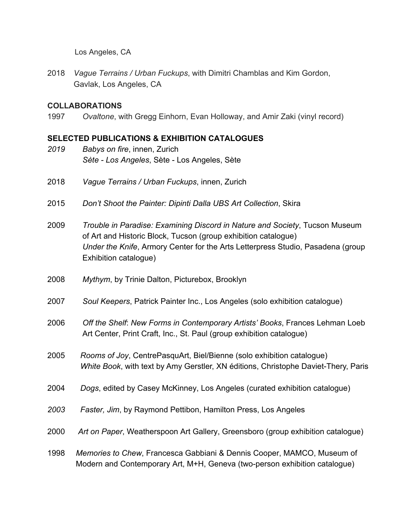Los Angeles, CA

2018 *Vague Terrains / Urban Fuckups*, with Dimitri Chamblas and Kim Gordon, Gavlak, Los Angeles, CA

#### **COLLABORATIONS**

1997 *Ovaltone*, with Gregg Einhorn, Evan Holloway, and Amir Zaki (vinyl record)

### **SELECTED PUBLICATIONS & EXHIBITION CATALOGUES**

- *2019 Babys on fire*, innen, Zurich *Sète - Los Angeles*, Sète - Los Angeles, Sète
- 2018 *Vague Terrains / Urban Fuckups*, innen, Zurich
- 2015 *Don't Shoot the Painter: Dipinti Dalla UBS Art Collection*, Skira
- 2009 *Trouble in Paradise: Examining Discord in Nature and Society*, Tucson Museum of Art and Historic Block, Tucson (group exhibition catalogue)  *Under the Knife*, Armory Center for the Arts Letterpress Studio, Pasadena (group Exhibition catalogue)
- 2008 *Mythym*, by Trinie Dalton, Picturebox, Brooklyn
- 2007 *Soul Keepers*, Patrick Painter Inc., Los Angeles (solo exhibition catalogue)
- 2006 *Off the Shelf*: *New Forms in Contemporary Artists' Books*, Frances Lehman Loeb Art Center, Print Craft, Inc., St. Paul (group exhibition catalogue)
- 2005 *Rooms of Joy*, CentrePasquArt, Biel/Bienne (solo exhibition catalogue) *White Book*, with text by Amy Gerstler, XN éditions, Christophe Daviet-Thery, Paris
- 2004 *Dogs*, edited by Casey McKinney, Los Angeles (curated exhibition catalogue)
- *2003 Faster, Jim*, by Raymond Pettibon, Hamilton Press, Los Angeles
- 2000 *Art on Paper*, Weatherspoon Art Gallery, Greensboro (group exhibition catalogue)
- 1998 *Memories to Chew*, Francesca Gabbiani & Dennis Cooper, MAMCO, Museum of Modern and Contemporary Art, M+H, Geneva (two-person exhibition catalogue)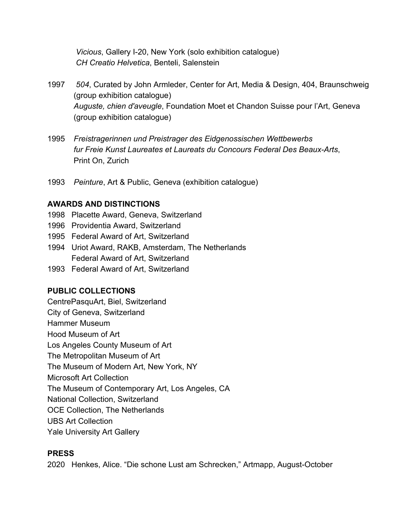*Vicious*, Gallery I-20, New York (solo exhibition catalogue) *CH Creatio Helvetica*, Benteli, Salenstein

- 1997 *504*, Curated by John Armleder, Center for Art, Media & Design, 404, Braunschweig (group exhibition catalogue) *Auguste, chien d'aveugle*, Foundation Moet et Chandon Suisse pour l'Art, Geneva (group exhibition catalogue)
- 1995 *Freistragerinnen und Preistrager des Eidgenossischen Wettbewerbs fur Freie Kunst Laureates et Laureats du Concours Federal Des Beaux-Arts*, Print On, Zurich
- 1993 *Peinture*, Art & Public, Geneva (exhibition catalogue)

## **AWARDS AND DISTINCTIONS**

- 1998 Placette Award, Geneva, Switzerland
- 1996 Providentia Award, Switzerland
- 1995 Federal Award of Art, Switzerland
- 1994 Uriot Award, RAKB, Amsterdam, The Netherlands Federal Award of Art, Switzerland
- 1993 Federal Award of Art, Switzerland

## **PUBLIC COLLECTIONS**

CentrePasquArt, Biel, Switzerland City of Geneva, Switzerland Hammer Museum Hood Museum of Art Los Angeles County Museum of Art The Metropolitan Museum of Art The Museum of Modern Art, New York, NY Microsoft Art Collection The Museum of Contemporary Art, Los Angeles, CA National Collection, Switzerland OCE Collection, The Netherlands UBS Art Collection

Yale University Art Gallery

## **PRESS**

2020 Henkes, Alice. "Die schone Lust am Schrecken," Artmapp, August-October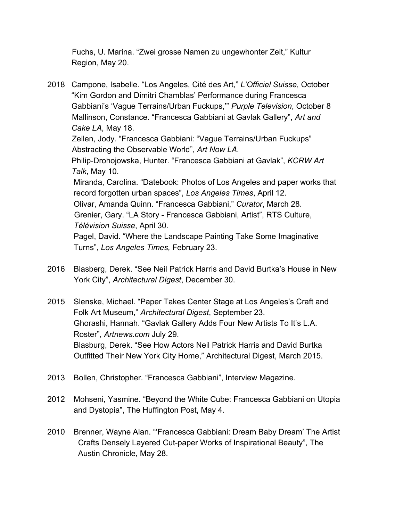Fuchs, U. Marina. "Zwei grosse Namen zu ungewhonter Zeit," Kultur Region, May 20.

- 2018 Campone, Isabelle. "Los Angeles, Cité des Art," *L'Officiel Suisse*, October "Kim Gordon and Dimitri Chamblas' Performance during Francesca Gabbiani's 'Vague Terrains/Urban Fuckups,'" *Purple Television*, October 8 Mallinson, Constance. "Francesca Gabbiani at Gavlak Gallery", *Art and Cake LA*, May 18. Zellen, Jody. "Francesca Gabbiani: "Vague Terrains/Urban Fuckups" Abstracting the Observable World", *Art Now LA.* Philip-Drohojowska, Hunter. "Francesca Gabbiani at Gavlak", *KCRW Art Talk*, May 10. Miranda, Carolina. "Datebook: Photos of Los Angeles and paper works that record forgotten urban spaces", *Los Angeles Times*, April 12. Olivar, Amanda Quinn. "Francesca Gabbiani," *Curator*, March 28. Grenier, Gary. "LA Story - Francesca Gabbiani, Artist", RTS Culture,  *Télévision Suisse*, April 30. Pagel, David. "Where the Landscape Painting Take Some Imaginative Turns", *Los Angeles Times,* February 23.
- 2016 Blasberg, Derek. "See Neil Patrick Harris and David Burtka's House in New York City", *Architectural Digest*, December 30.
- 2015 Slenske, Michael. "Paper Takes Center Stage at Los Angeles's Craft and Folk Art Museum," *Architectural Digest*, September 23. Ghorashi, Hannah. "Gavlak Gallery Adds Four New Artists To It's L.A. Roster", *Artnews.com* July 29. Blasburg, Derek. "See How Actors Neil Patrick Harris and David Burtka Outfitted Their New York City Home," Architectural Digest, March 2015.
- 2013 Bollen, Christopher. "Francesca Gabbiani", Interview Magazine.
- 2012 Mohseni, Yasmine. "Beyond the White Cube: Francesca Gabbiani on Utopia and Dystopia", The Huffington Post, May 4.
- 2010 Brenner, Wayne Alan. "'Francesca Gabbiani: Dream Baby Dream' The Artist Crafts Densely Layered Cut-paper Works of Inspirational Beauty", The Austin Chronicle, May 28.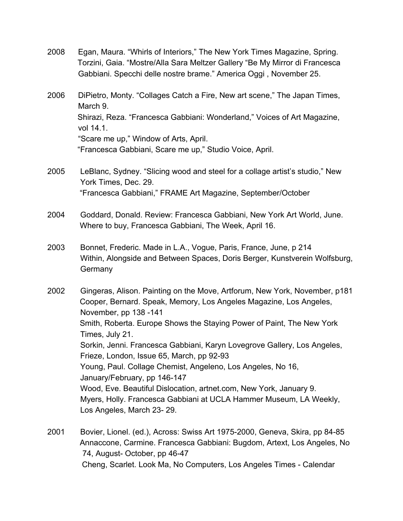- 2008 Egan, Maura. "Whirls of Interiors," The New York Times Magazine, Spring. Torzini, Gaia. "Mostre/Alla Sara Meltzer Gallery "Be My Mirror di Francesca Gabbiani. Specchi delle nostre brame." America Oggi , November 25.
- 2006 DiPietro, Monty. "Collages Catch a Fire, New art scene," The Japan Times, March 9. Shirazi, Reza. "Francesca Gabbiani: Wonderland," Voices of Art Magazine, vol 14.1. "Scare me up," Window of Arts, April. "Francesca Gabbiani, Scare me up," Studio Voice, April.
- 2005 LeBlanc, Sydney. "Slicing wood and steel for a collage artist's studio," New York Times, Dec. 29. "Francesca Gabbiani," FRAME Art Magazine, September/October
- 2004 Goddard, Donald. Review: Francesca Gabbiani, New York Art World, June. Where to buy, Francesca Gabbiani, The Week, April 16.
- 2003 Bonnet, Frederic. Made in L.A., Vogue, Paris, France, June, p 214 Within, Alongside and Between Spaces, Doris Berger, Kunstverein Wolfsburg, **Germany**

2002 Gingeras, Alison. Painting on the Move, Artforum, New York, November, p181 Cooper, Bernard. Speak, Memory, Los Angeles Magazine, Los Angeles, November, pp 138 -141 Smith, Roberta. Europe Shows the Staying Power of Paint, The New York Times, July 21. Sorkin, Jenni. Francesca Gabbiani, Karyn Lovegrove Gallery, Los Angeles, Frieze, London, Issue 65, March, pp 92-93 Young, Paul. Collage Chemist, Angeleno, Los Angeles, No 16, January/February, pp 146-147 Wood, Eve. Beautiful Dislocation, artnet.com, New York, January 9. Myers, Holly. Francesca Gabbiani at UCLA Hammer Museum, LA Weekly, Los Angeles, March 23- 29.

2001 Bovier, Lionel. (ed.), Across: Swiss Art 1975-2000, Geneva, Skira, pp 84-85 Annaccone, Carmine. Francesca Gabbiani: Bugdom, Artext, Los Angeles, No 74, August- October, pp 46-47 Cheng, Scarlet. Look Ma, No Computers, Los Angeles Times - Calendar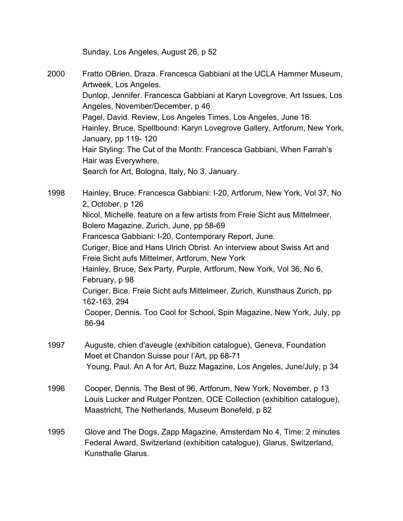Sunday, Los Angeles, August 26, p 52

2000 Fratto OBrien, Draza. Francesca Gabbiani at the UCLA Hammer Museum, Artweek, Los Angeles. Dunlop, Jennifer. Francesca Gabbiani at Karyn Lovegrove, Art Issues, Los Angeles, November/December, p 46 Pagel, David. Review, Los Angeles Times, Los Angeles, June 16. Hainley, Bruce. Spellbound: Karyn Lovegrove Gallery, Artforum, New York, January, pp 119- 120 Hair Styling: The Cut of the Month: Francesca Gabbiani, When Farrah's Hair was Everywhere, Search for Art, Bologna, Italy, No 3, January.

1998 Hainley, Bruce. Francesca Gabbiani: I-20, Artforum, New York, Vol 37, No 2, October, p 126 Nicol, Michelle. feature on a few artists from Freie Sicht aus Mittelmeer, Bolero Magazine, Zurich, June, pp 58-69 Francesca Gabbiani: I-20, Contemporary Report, June. Curiger, Bice and Hans Ulrich Obrist. An interview about Swiss Art and Freie Sicht aufs Mittelmer, Artforum, New York Hainley, Bruce, Sex Party, Purple, Artforum, New York, Vol 36, No 6, February, p 98 Curiger, Bice. Freie Sicht aufs Mittelmeer, Zurich, Kunsthaus Zurich, pp 162-163, 294 Cooper, Dennis. Too Cool for School, Spin Magazine, New York, July, pp 86-94

- 1997 Auguste, chien d'aveugle (exhibition catalogue), Geneva, Foundation Moet et Chandon Suisse pour l'Art, pp 68-71 Young, Paul. An A for Art, Buzz Magazine, Los Angeles, June/July, p 34
- 1996 Cooper, Dennis. The Best of 96, Artforum, New York, November, p 13 Louis Lucker and Rutger Pontzen, OCE Collection (exhibition catalogue), Maastricht, The Netherlands, Museum Bonefeld, p 82
- 1995 Glove and The Dogs, Zapp Magazine, Amsterdam No 4, Time: 2 minutes Federal Award, Switzerland (exhibition catalogue), Glarus, Switzerland, Kunsthalle Glarus.